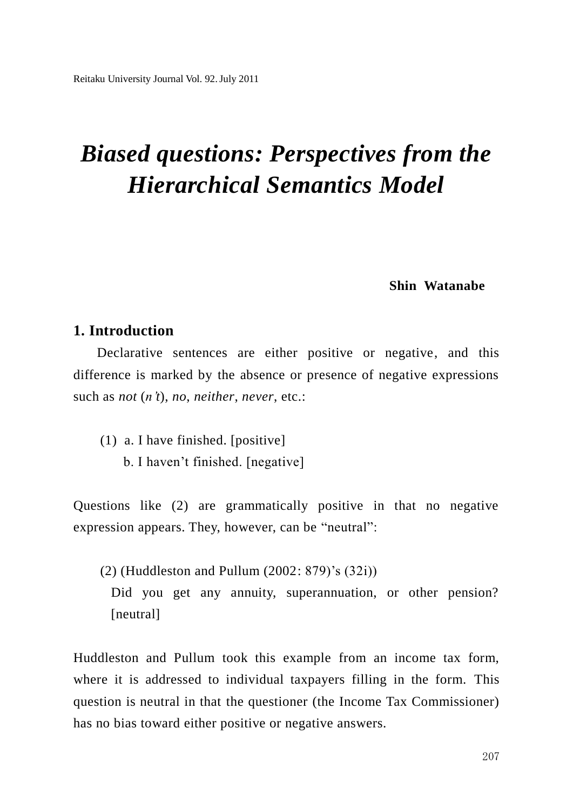# *Biased questions: Perspectives from the Hierarchical Semantics Model*

## **Shin Watanabe**

# **1. Introduction**

Declarative sentences are either positive or negative, and this difference is marked by the absence or presence of negative expressions such as *not* (*n't*), *no*, *neither*, *never*, etc.:

(1) a. I have finished. [positive] b. I haven"t finished. [negative]

Questions like (2) are grammatically positive in that no negative expression appears. They, however, can be "neutral":

(2) (Huddleston and Pullum (2002: 879)"s (32i)) Did you get any annuity, superannuation, or other pension? [neutral]

Huddleston and Pullum took this example from an income tax form, where it is addressed to individual taxpayers filling in the form. This question is neutral in that the questioner (the Income Tax Commissioner) has no bias toward either positive or negative answers.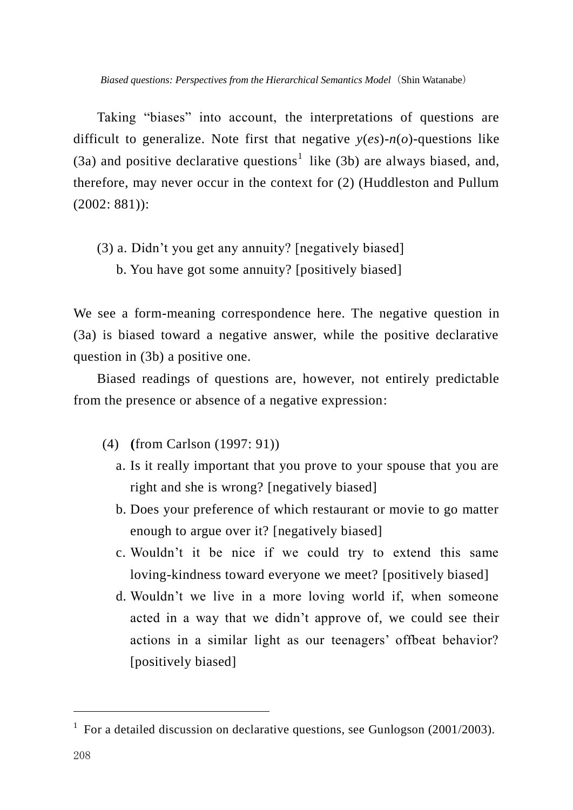*Biased questions: Perspectives from the Hierarchical Semantics Model*(Shin Watanabe)

Taking "biases" into account, the interpretations of questions are difficult to generalize. Note first that negative *y*(*es*)-*n*(*o*)-questions like (3a) and positive declarative questions<sup>1</sup> like (3b) are always biased, and, therefore, may never occur in the context for (2) (Huddleston and Pullum (2002: 881)):

- (3) a. Didn"t you get any annuity? [negatively biased]
	- b. You have got some annuity? [positively biased]

We see a form-meaning correspondence here. The negative question in (3a) is biased toward a negative answer, while the positive declarative question in (3b) a positive one.

Biased readings of questions are, however, not entirely predictable from the presence or absence of a negative expression:

- (4) **(**from Carlson (1997: 91))
	- a. Is it really important that you prove to your spouse that you are right and she is wrong? [negatively biased]
	- b. Does your preference of which restaurant or movie to go matter enough to argue over it? [negatively biased]
	- c. Wouldn"t it be nice if we could try to extend this same loving-kindness toward everyone we meet? [positively biased]
	- d. Wouldn"t we live in a more loving world if, when someone acted in a way that we didn"t approve of, we could see their actions in a similar light as our teenagers' offbeat behavior? [positively biased]

l

<sup>&</sup>lt;sup>1</sup> For a detailed discussion on declarative questions, see Gunlogson (2001/2003).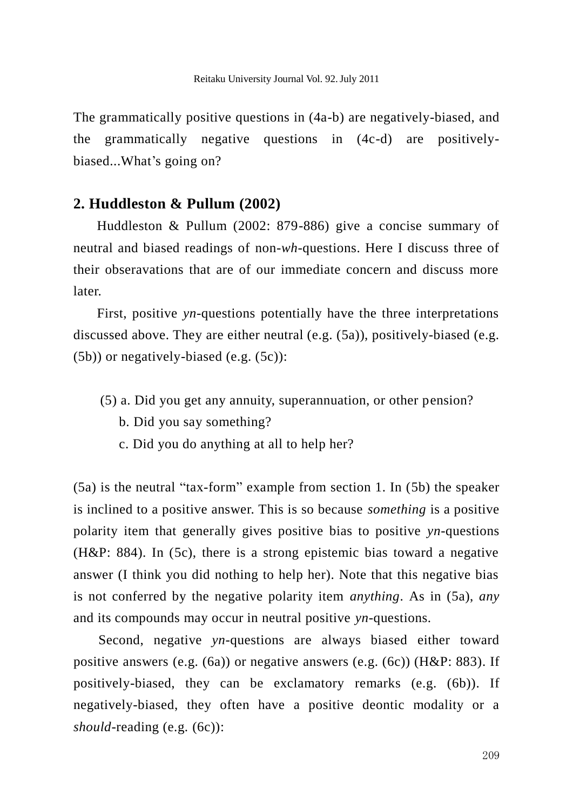The grammatically positive questions in (4a-b) are negatively-biased, and the grammatically negative questions in (4c-d) are positivelybiased...What's going on?

### **2. Huddleston & Pullum (2002)**

Huddleston & Pullum (2002: 879-886) give a concise summary of neutral and biased readings of non-*wh*-questions. Here I discuss three of their obseravations that are of our immediate concern and discuss more later.

First, positive *yn*-questions potentially have the three interpretations discussed above. They are either neutral (e.g. (5a)), positively-biased (e.g. (5b)) or negatively-biased (e.g. (5c)):

- (5) a. Did you get any annuity, superannuation, or other pension?
	- b. Did you say something?
	- c. Did you do anything at all to help her?

(5a) is the neutral "tax-form" example from section 1. In (5b) the speaker is inclined to a positive answer. This is so because *something* is a positive polarity item that generally gives positive bias to positive *yn*-questions (H&P: 884). In (5c), there is a strong epistemic bias toward a negative answer (I think you did nothing to help her). Note that this negative bias is not conferred by the negative polarity item *anything*. As in (5a), *any* and its compounds may occur in neutral positive *yn*-questions.

Second, negative *yn*-questions are always biased either toward positive answers (e.g. (6a)) or negative answers (e.g. (6c)) (H&P: 883). If positively-biased, they can be exclamatory remarks (e.g. (6b)). If negatively-biased, they often have a positive deontic modality or a *should*-reading (e.g. (6c)):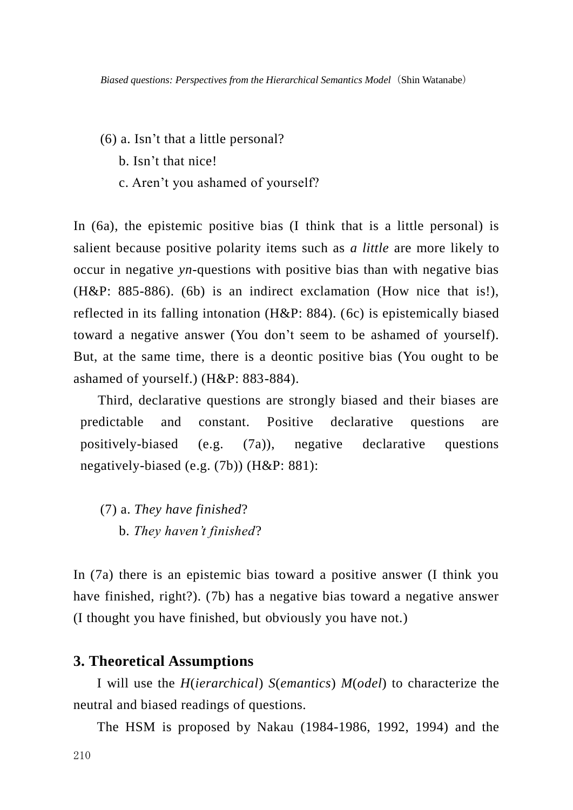- (6) a. Isn"t that a little personal?
	- b. Isn"t that nice!
	- c. Aren"t you ashamed of yourself?

In (6a), the epistemic positive bias (I think that is a little personal) is salient because positive polarity items such as *a little* are more likely to occur in negative *yn*-questions with positive bias than with negative bias (H&P: 885-886). (6b) is an indirect exclamation (How nice that is!), reflected in its falling intonation (H&P: 884). (6c) is epistemically biased toward a negative answer (You don"t seem to be ashamed of yourself). But, at the same time, there is a deontic positive bias (You ought to be ashamed of yourself.) (H&P: 883-884).

Third, declarative questions are strongly biased and their biases are predictable and constant. Positive declarative questions are positively-biased (e.g. (7a)), negative declarative questions negatively-biased (e.g. (7b)) (H&P: 881):

(7) a. *They have finished*? b. *They haven't finished*?

In (7a) there is an epistemic bias toward a positive answer (I think you have finished, right?). (7b) has a negative bias toward a negative answer (I thought you have finished, but obviously you have not.)

## **3. Theoretical Assumptions**

I will use the *H*(*ierarchical*) *S*(*emantics*) *M*(*odel*) to characterize the neutral and biased readings of questions.

The HSM is proposed by Nakau (1984-1986, 1992, 1994) and the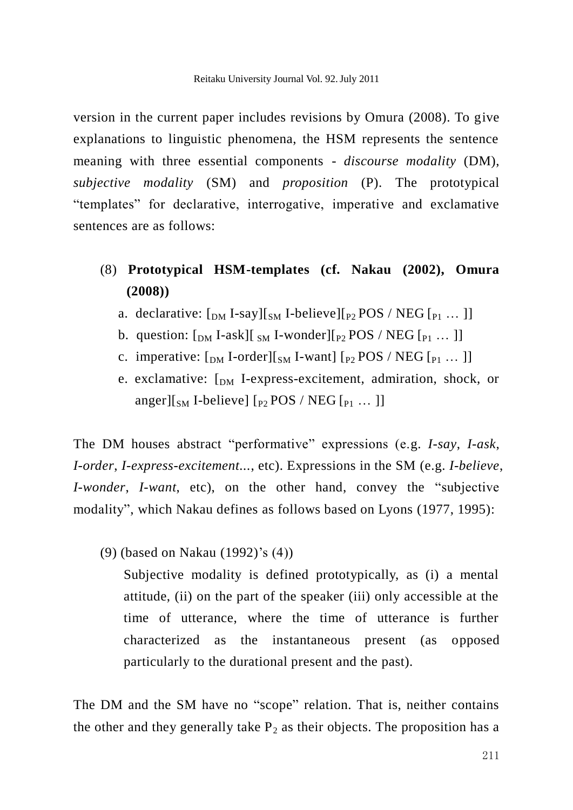version in the current paper includes revisions by Omura (2008). To give explanations to linguistic phenomena, the HSM represents the sentence meaning with three essential components - *discourse modality* (DM), *subjective modality* (SM) and *proposition* (P). The prototypical "templates" for declarative, interrogative, imperative and exclamative sentences are as follows:

- (8) **Prototypical HSM-templates (cf. Nakau (2002), Omura (2008))**
	- a. declarative:  $\lceil_{DM}$  I-say] $\lceil_{SM}$  I-believe] $\lceil_{P2}$  POS / NEG  $\lceil_{P1}$  ... ]]
	- b. question:  $\left[$ <sub>DM</sub> I-ask][ $\right]$ <sub>SM</sub> I-wonder][ $_{P2}$  POS / NEG  $\left[$  $_{P1}$  ... ]]
	- c. imperative:  $\lceil_{DM}$  I-order] $\lceil_{SM}$  I-want]  $\lceil_{P2}$  POS / NEG  $\lceil_{P1}$  ... ]]
	- e. exclamative:  $\lceil_{DM}$  I-express-excitement, admiration, shock, or anger][ $_{SM}$  I-believe] [ $_{P2}$  POS / NEG [ $_{P1}$  ...]]

The DM houses abstract "performative" expressions (e.g. *I-say*, *I-ask*, *I-order*, *I-express-excitement...*, etc). Expressions in the SM (e.g. *I-believe*, *I-wonder*, *I-want*, etc), on the other hand, convey the "subjective modality", which Nakau defines as follows based on Lyons (1977, 1995):

(9) (based on Nakau (1992)"s (4))

Subjective modality is defined prototypically, as (i) a mental attitude, (ii) on the part of the speaker (iii) only accessible at the time of utterance, where the time of utterance is further characterized as the instantaneous present (as opposed particularly to the durational present and the past).

The DM and the SM have no "scope" relation. That is, neither contains the other and they generally take  $P_2$  as their objects. The proposition has a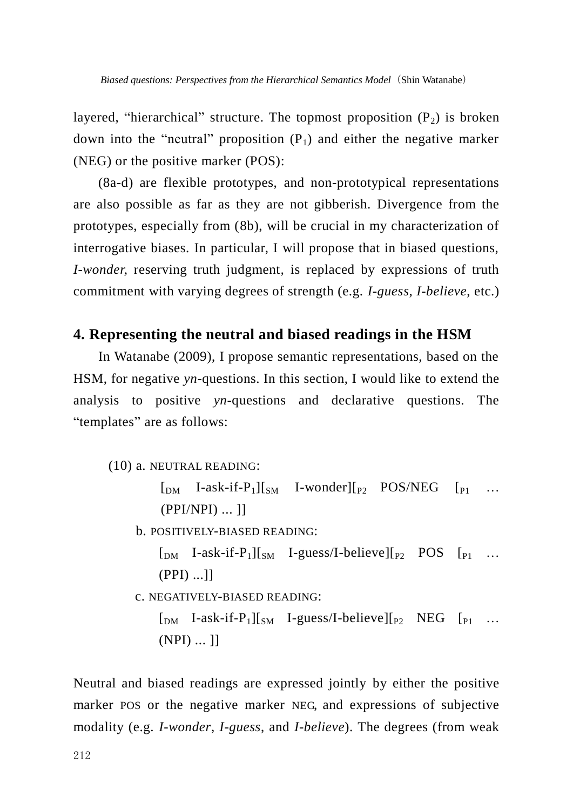layered, "hierarchical" structure. The topmost proposition  $(P_2)$  is broken down into the "neutral" proposition  $(P_1)$  and either the negative marker (NEG) or the positive marker (POS):

(8a-d) are flexible prototypes, and non-prototypical representations are also possible as far as they are not gibberish. Divergence from the prototypes, especially from (8b), will be crucial in my characterization of interrogative biases. In particular, I will propose that in biased questions, *I-wonder, reserving truth judgment, is replaced by expressions of truth* commitment with varying degrees of strength (e.g. *I-guess*, *I-believe*, etc.)

# **4. Representing the neutral and biased readings in the HSM**

In Watanabe (2009), I propose semantic representations, based on the HSM, for negative *yn*-questions. In this section, I would like to extend the analysis to positive *yn*-questions and declarative questions. The "templates" are as follows:

(10) a. NEUTRAL READING:

 $\begin{bmatrix} \n\text{DM} & \text{I-ask-if-P1} \mid \text{SM} & \text{I-wonder} \mid \text{P2} & \text{POS/NEG} & \text{P1} & \dots \n\end{bmatrix}$ (PPI/NPI) ... ]]

b. POSITIVELY-BIASED READING:

 $\begin{bmatrix} \n\mu & I-ask-if-P_1\n\end{bmatrix}\n\begin{bmatrix} \n\mu & I-guess/I-believe \n\end{bmatrix}\n\begin{bmatrix} \n\mu & POS \n\end{bmatrix}\n\begin{bmatrix} \n\mu & \n\mu \n\end{bmatrix}$ (PPI) ...]]

c. NEGATIVELY-BIASED READING:

 $\begin{bmatrix}$  [DM I-ask-if-P<sub>1</sub>][<sub>SM</sub> I-guess/I-believe][<sub>P2</sub> NEG [<sub>P1</sub> ... (NPI) ... ]]

Neutral and biased readings are expressed jointly by either the positive marker POS or the negative marker NEG, and expressions of subjective modality (e.g. *I-wonder*, *I-guess*, and *I-believe*). The degrees (from weak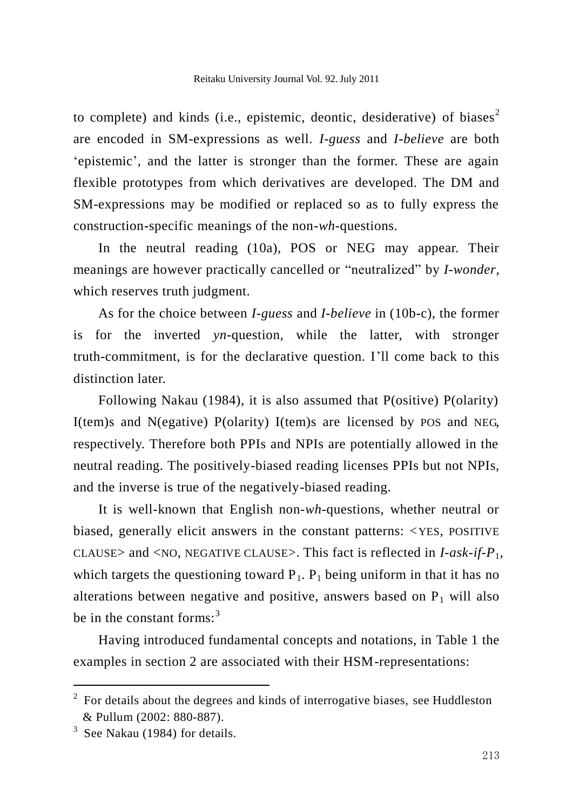to complete) and kinds (i.e., epistemic, deontic, desiderative) of biases<sup>2</sup> are encoded in SM-expressions as well. *I-guess* and *I-believe* are both "epistemic", and the latter is stronger than the former. These are again flexible prototypes from which derivatives are developed. The DM and SM-expressions may be modified or replaced so as to fully express the construction-specific meanings of the non-*wh*-questions.

In the neutral reading (10a), POS or NEG may appear. Their meanings are however practically cancelled or "neutralized" by *I-wonder*, which reserves truth judgment.

As for the choice between *I-guess* and *I-believe* in (10b-c), the former is for the inverted *yn*-question, while the latter, with stronger truth-commitment, is for the declarative question. I"ll come back to this distinction later.

Following Nakau (1984), it is also assumed that P(ositive) P(olarity) I(tem)s and N(egative) P(olarity) I(tem)s are licensed by POS and NEG, respectively. Therefore both PPIs and NPIs are potentially allowed in the neutral reading. The positively-biased reading licenses PPIs but not NPIs, and the inverse is true of the negatively-biased reading.

It is well-known that English non-*wh*-questions, whether neutral or biased, generally elicit answers in the constant patterns: <YES, POSITIVE CLAUSE> and <NO, NEGATIVE CLAUSE>. This fact is reflected in *I-ask-if-P*1, which targets the questioning toward  $P_1$ .  $P_1$  being uniform in that it has no alterations between negative and positive, answers based on  $P_1$  will also be in the constant forms: $3$ 

Having introduced fundamental concepts and notations, in Table 1 the examples in section 2 are associated with their HSM-representations:

l

 $2$  For details about the degrees and kinds of interrogative biases, see Huddleston & Pullum (2002: 880-887).

<sup>3</sup> See Nakau (1984) for details.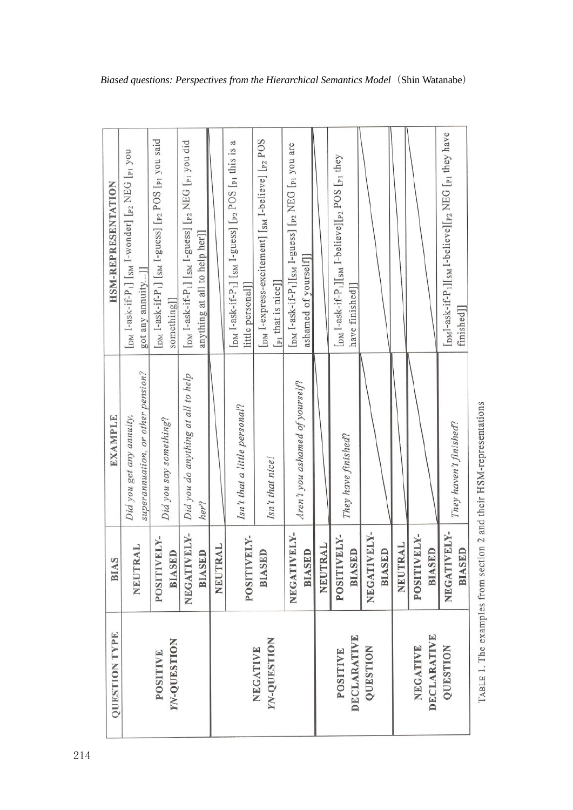| <b>QUESTION TYPE</b>                         | <b>BIAS</b>                  | <b>EXAMPLE</b>                                                | <b>HSM-REPRESENTATION</b>                                                                                                                                |
|----------------------------------------------|------------------------------|---------------------------------------------------------------|----------------------------------------------------------------------------------------------------------------------------------------------------------|
|                                              | NEUTRAL                      | superannuation, or other pension?<br>Did you get any annuity, | [DM I-ask-if-P <sub>1</sub> ] [SM I-wonder] [ <sub>P2</sub> NEG [P <sub>1</sub> you<br>got any annuity]                                                  |
| <b><i>YN-QUESTION</i></b><br><b>POSITIVE</b> | POSITIVELY-<br><b>BIASED</b> | Did you say something?                                        | [DM I-ask-if-P <sub>1</sub> ] [SM I-guess] [P <sub>2</sub> POS [P <sub>1</sub> you said<br>something]                                                    |
|                                              | NEGATIVELY-<br><b>BIASED</b> | Did you do anything at all to help<br>her?                    | [DM I-ask-if-P <sub>1</sub> ] [SM I-guess] [p <sub>2</sub> NEG [p <sub>1</sub> you did<br>anything at all to help her]]                                  |
|                                              | NEUTRAL                      |                                                               |                                                                                                                                                          |
|                                              | POSITIVELY-                  | Isn't that a little personal?                                 | $\lceil_{\text{DM}}$ I-ask-if-P <sub>1</sub> ] $\lceil_{\text{SM}}$ I-guess] $\lceil_{\text{P2}}$ POS $\lceil_{\text{P1}}$ this is a<br>little personal] |
| <b>YN-QUESTION</b><br>NEGATIVE               | <b>BIASED</b>                | Isn't that nice!                                              | [DM I-express-excitement] [SM I-believe] [P2 POS<br>[p <sub>1</sub> that is nice]]                                                                       |
|                                              | NEGATIVELY-<br><b>BIASED</b> | Aren't you ashamed of yourself?                               | [DM I-ask-if-P <sub>1</sub> ][SM I-guess] [ <sub>P2</sub> NEG [ <sub>P1</sub> you are<br>ashamed of yourself]                                            |
|                                              | <b>NEUTRAL</b>               |                                                               |                                                                                                                                                          |
| <b>DECLARATIVE</b><br><b>POSITIVE</b>        | POSITIVELY-<br><b>BIASED</b> | They have finished?                                           | [DM I-ask-if-P <sub>1</sub> ][SM I-believe][p <sub>2</sub> POS [p <sub>1</sub> they<br>have finished]]                                                   |
| QUESTION                                     | NEGATIVELY-<br><b>BIASED</b> |                                                               |                                                                                                                                                          |
|                                              | <b>NEUTRAL</b>               |                                                               |                                                                                                                                                          |
| <b>DECLARATIVE</b><br>NEGATIVE               | POSITIVELY-<br><b>BIASED</b> |                                                               |                                                                                                                                                          |
| QUESTION                                     | NEGATIVELY-<br><b>BIASED</b> | They haven't finished?                                        | [DMI-ask-if-P <sub>1</sub> ][ <sub>SM</sub> I-believe][ <sub>P2</sub> NEG [ <sub>P1</sub> they have<br>finished <sup>]</sup>                             |

TABLE 1. The examples from section 2 and their HSM-representations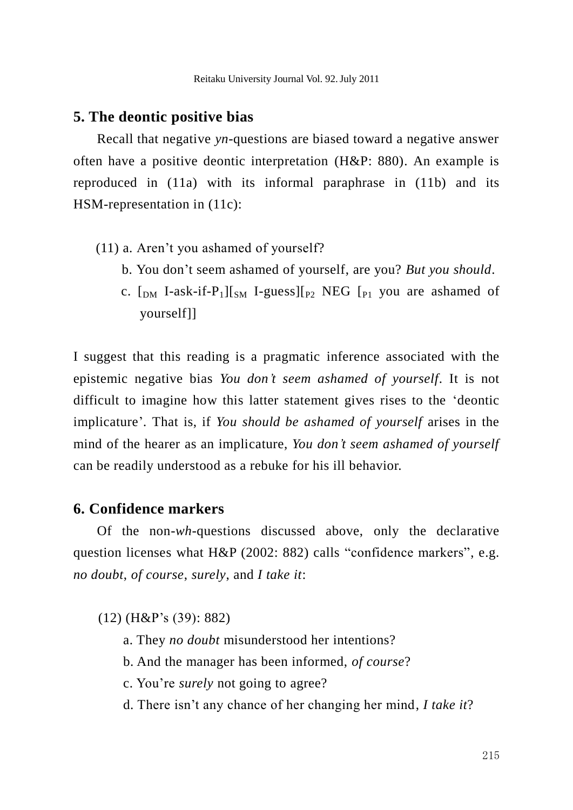#### **5. The deontic positive bias**

Recall that negative *yn*-questions are biased toward a negative answer often have a positive deontic interpretation (H&P: 880). An example is reproduced in (11a) with its informal paraphrase in (11b) and its HSM-representation in (11c):

- (11) a. Aren"t you ashamed of yourself?
	- b. You don"t seem ashamed of yourself, are you? *But you should*.
	- c.  $\lceil_{\text{DM}} \rceil$ -ask-if-P<sub>1</sub>] $\lceil_{\text{SM}} \rceil$ -guess] $\lceil_{\text{P2}} \rceil$  NEG  $\lceil_{\text{P1}} \rceil$  you are ashamed of yourself]]

I suggest that this reading is a pragmatic inference associated with the epistemic negative bias *You don't seem ashamed of yourself*. It is not difficult to imagine how this latter statement gives rises to the "deontic implicature"*.* That is, if *You should be ashamed of yourself* arises in the mind of the hearer as an implicature, *You don't seem ashamed of yourself* can be readily understood as a rebuke for his ill behavior.

## **6. Confidence markers**

Of the non-*wh*-questions discussed above, only the declarative question licenses what H&P (2002: 882) calls "confidence markers", e.g. *no doubt*, *of course*, *surely*, and *I take it*:

(12) (H&P"s (39): 882)

- a. They *no doubt* misunderstood her intentions?
- b. And the manager has been informed, *of course*?
- c. You"re *surely* not going to agree?
- d. There isn"t any chance of her changing her mind, *I take it*?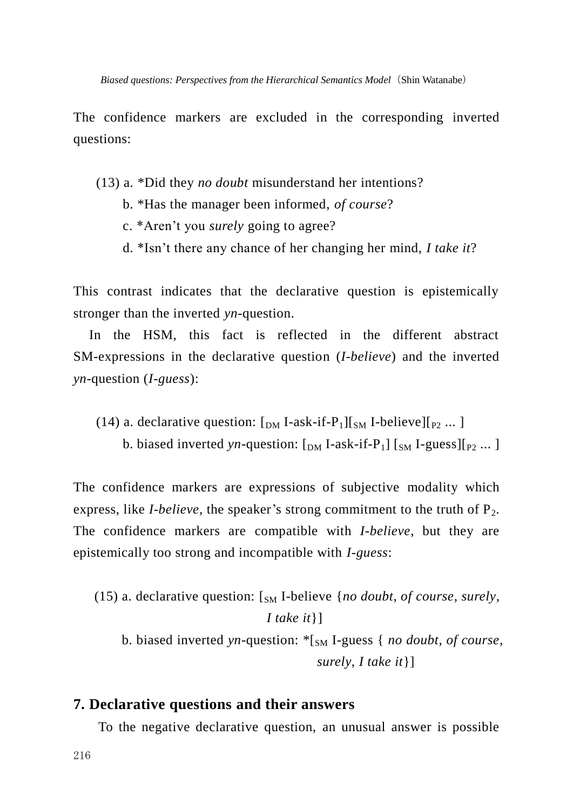The confidence markers are excluded in the corresponding inverted questions:

- (13) a. \*Did they *no doubt* misunderstand her intentions?
	- b. \*Has the manager been informed, *of course*?
	- c. \*Aren"t you *surely* going to agree?
	- d. \*Isn"t there any chance of her changing her mind, *I take it*?

This contrast indicates that the declarative question is epistemically stronger than the inverted *yn*-question.

In the HSM, this fact is reflected in the different abstract SM-expressions in the declarative question (*I-believe*) and the inverted *yn*-question (*I-guess*):

(14) a. declarative question:  $\lceil_{DM} I-ask-if-P_1 \rceil \rceil_{SM} I-believe \rceil_{P_2} \dots$ b. biased inverted *yn*-question:  $\lceil_{DM} I-ask-if-P_1 \rceil \rceil_{SM} I-guess \rceil_{P_2} ...$ 

The confidence markers are expressions of subjective modality which express, like *I-believe*, the speaker's strong commitment to the truth of  $P_2$ . The confidence markers are compatible with *I-believe*, but they are epistemically too strong and incompatible with *I-guess*:

(15) a. declarative question:  $\int_{SM}$  I-believe  $\{no \text{ doubt, of course, surely,}\}$ *I take it*}] b. biased inverted *yn*-question: \*[SM I-guess { *no doubt*, *of course*,

*surely*, *I take it*}]

#### **7. Declarative questions and their answers**

To the negative declarative question, an unusual answer is possible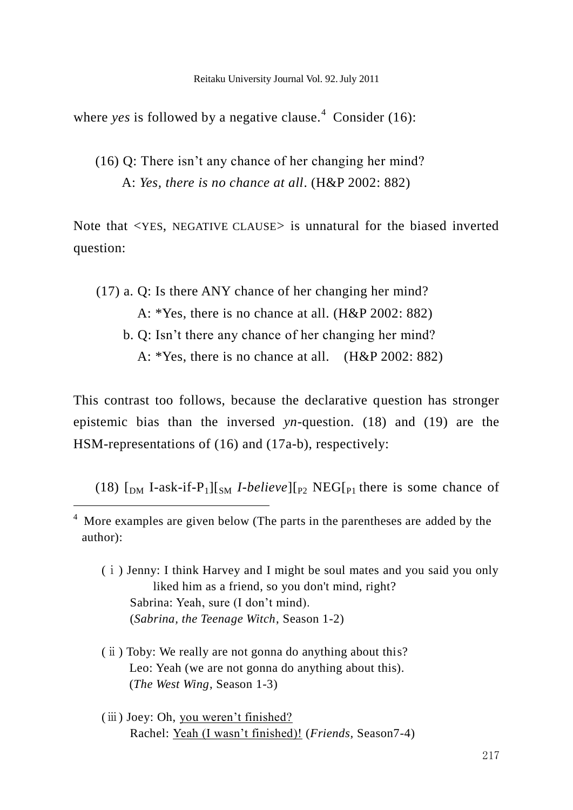where *yes* is followed by a negative clause.<sup>4</sup> Consider (16):

(16) Q: There isn"t any chance of her changing her mind? A: *Yes, there is no chance at all*. (H&P 2002: 882)

Note that <YES, NEGATIVE CLAUSE> is unnatural for the biased inverted question:

- (17) a. Q: Is there ANY chance of her changing her mind? A: \*Yes, there is no chance at all. (H&P 2002: 882)
	- b. Q: Isn"t there any chance of her changing her mind? A: \*Yes, there is no chance at all. (H&P 2002: 882)

This contrast too follows, because the declarative question has stronger epistemic bias than the inversed *yn*-question. (18) and (19) are the HSM-representations of (16) and (17a-b), respectively:

(18)  $\lceil_{\text{DM}}$  I-ask-if-P<sub>1</sub>][<sub>SM</sub> *I-believe*][<sub>P2</sub> NEG[<sub>P1</sub> there is some chance of

-

- (ⅰ) Jenny: I think Harvey and I might be soul mates and you said you only liked him as a friend, so you don't mind, right? Sabrina: Yeah, sure (I don't mind). (*Sabrina, the Teenage Witch*, Season 1-2)
- (ⅱ) Toby: We really are not gonna do anything about this? Leo: Yeah (we are not gonna do anything about this). (*The West Wing*, Season 1-3)
- (iii) Joey: Oh, you weren't finished? Rachel: Yeah (I wasn"t finished)! (*Friends,* Season7-4)

<sup>4</sup> More examples are given below (The parts in the parentheses are added by the author):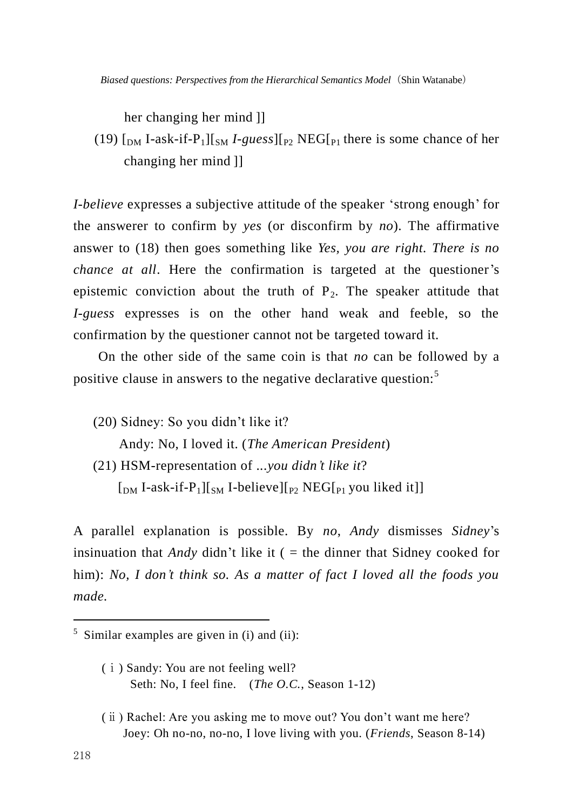her changing her mind ]]

(19)  $\lceil_{DM}$  I-ask-if-P<sub>1</sub> $\lceil_{SM}$  *I-guess* $\lceil_{P2}$  NEG $\lceil_{P1}$  there is some chance of her changing her mind ]]

*I-believe* expresses a subjective attitude of the speaker 'strong enough' for the answerer to confirm by *yes* (or disconfirm by *no*). The affirmative answer to (18) then goes something like *Yes, you are right. There is no chance at all.* Here the confirmation is targeted at the questioner's epistemic conviction about the truth of  $P_2$ . The speaker attitude that *I-guess* expresses is on the other hand weak and feeble, so the confirmation by the questioner cannot not be targeted toward it.

On the other side of the same coin is that *no* can be followed by a positive clause in answers to the negative declarative question:<sup>5</sup>

(20) Sidney: So you didn"t like it? Andy: No, I loved it. (*The American President*) (21) HSM-representation of ...*you didn't like it*?

 $\lceil_{\text{DM}}$  I-ask-if-P<sub>1</sub>][<sub>SM</sub> I-believe][<sub>P2</sub> NEG[<sub>P1</sub> you liked it]]

A parallel explanation is possible. By *no*, *Andy* dismisses *Sidney*"s insinuation that *Andy* didn't like it  $($  = the dinner that Sidney cooked for him): *No, I don't think so. As a matter of fact I loved all the foods you made.*

- (ⅰ) Sandy: You are not feeling well? Seth: No, I feel fine. (*The O.C.*, Season 1-12)
- (ⅱ) Rachel: Are you asking me to move out? You don"t want me here? Joey: Oh no-no, no-no, I love living with you. (*Friends*, Season 8-14)

-

<sup>5</sup> Similar examples are given in (i) and (ii):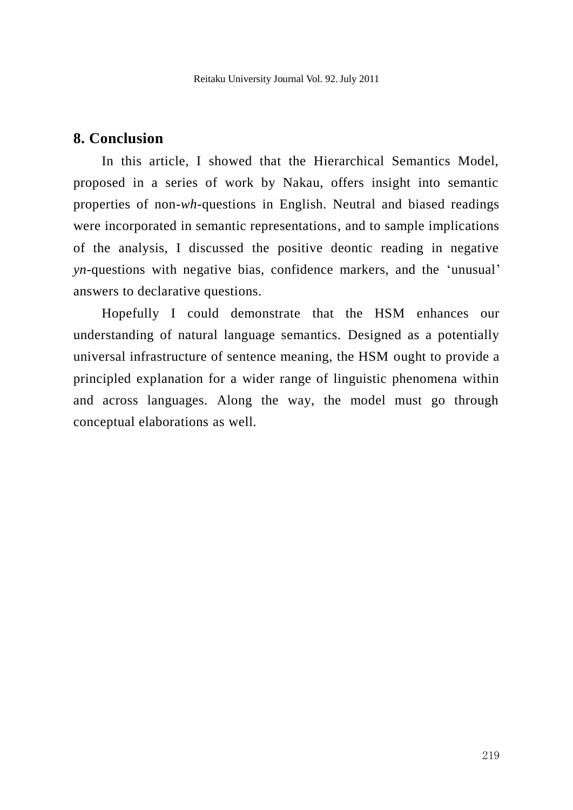## **8. Conclusion**

In this article, I showed that the Hierarchical Semantics Model, proposed in a series of work by Nakau, offers insight into semantic properties of non-*wh*-questions in English. Neutral and biased readings were incorporated in semantic representations, and to sample implications of the analysis, I discussed the positive deontic reading in negative *yn*-questions with negative bias, confidence markers, and the 'unusual' answers to declarative questions.

Hopefully I could demonstrate that the HSM enhances our understanding of natural language semantics. Designed as a potentially universal infrastructure of sentence meaning, the HSM ought to provide a principled explanation for a wider range of linguistic phenomena within and across languages. Along the way, the model must go through conceptual elaborations as well.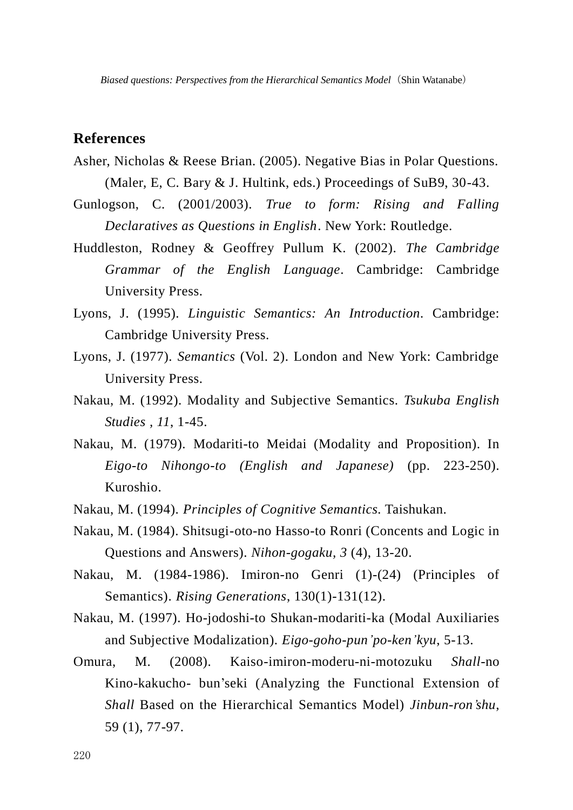## **References**

- Asher, Nicholas & Reese Brian. (2005). Negative Bias in Polar Questions. (Maler, E, C. Bary & J. Hultink, eds.) Proceedings of SuB9, 30-43.
- Gunlogson, C. (2001/2003). *True to form: Rising and Falling Declaratives as Questions in English*. New York: Routledge.
- Huddleston, Rodney & Geoffrey Pullum K. (2002). *The Cambridge Grammar of the English Language*. Cambridge: Cambridge University Press.
- Lyons, J. (1995). *Linguistic Semantics: An Introduction.* Cambridge: Cambridge University Press.
- Lyons, J. (1977). *Semantics* (Vol. 2). London and New York: Cambridge University Press.
- Nakau, M. (1992). Modality and Subjective Semantics. *Tsukuba English Studies , 11*, 1-45.
- Nakau, M. (1979). Modariti-to Meidai (Modality and Proposition). In *Eigo-to Nihongo-to (English and Japanese)* (pp. 223-250). Kuroshio.
- Nakau, M. (1994). *Principles of Cognitive Semantics.* Taishukan.
- Nakau, M. (1984). Shitsugi-oto-no Hasso-to Ronri (Concents and Logic in Questions and Answers). *Nihon-gogaku, 3* (4), 13-20.
- Nakau, M. (1984-1986). Imiron-no Genri (1)-(24) (Principles of Semantics). *Rising Generations*, 130(1)-131(12).
- Nakau, M. (1997). Ho-jodoshi-to Shukan-modariti-ka (Modal Auxiliaries and Subjective Modalization). *Eigo-goho-pun'po-ken'kyu*, 5-13.
- Omura, M. (2008). Kaiso-imiron-moderu-ni-motozuku *Shall*-no Kino-kakucho- bun"seki (Analyzing the Functional Extension of *Shall* Based on the Hierarchical Semantics Model) *Jinbun-ron'shu*, 59 (1), 77-97.